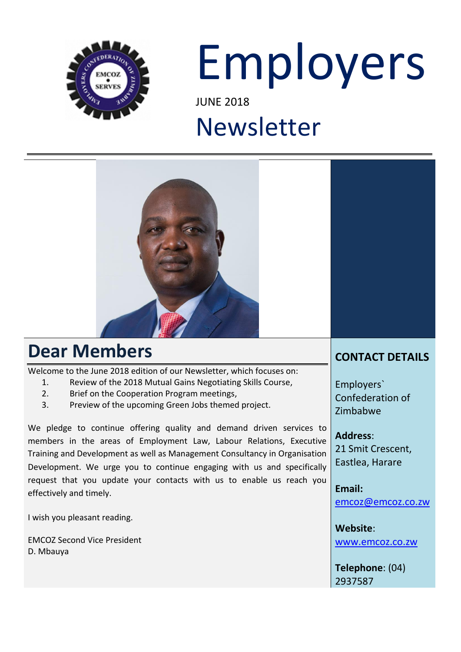

# Employers JUNE 2018

# Newsletter



### **Dear Members**

Welcome to the June 2018 edition of our Newsletter, which focuses on:

- 1. Review of the 2018 Mutual Gains Negotiating Skills Course,
- 2. Brief on the Cooperation Program meetings,
- 3. Preview of the upcoming Green Jobs themed project.

We pledge to continue offering quality and demand driven services to members in the areas of Employment Law, Labour Relations, Executive Training and Development as well as Management Consultancy in Organisation Development. We urge you to continue engaging with us and specifically request that you update your contacts with us to enable us reach you effectively and timely.

I wish you pleasant reading.

EMCOZ Second Vice President D. Mbauya

### **CONTACT DETAILS**

Employers` Confederation of Zimbabwe

**Address**: 21 Smit Crescent, Eastlea, Harare

**Email:**  [emcoz@emcoz.co.zw](mailto:emcoz@emcoz.co.zw)

**Website**: [www.emcoz.co.zw](http://www.emcoz.co.zw/)

**Telephone**: (04) 2937587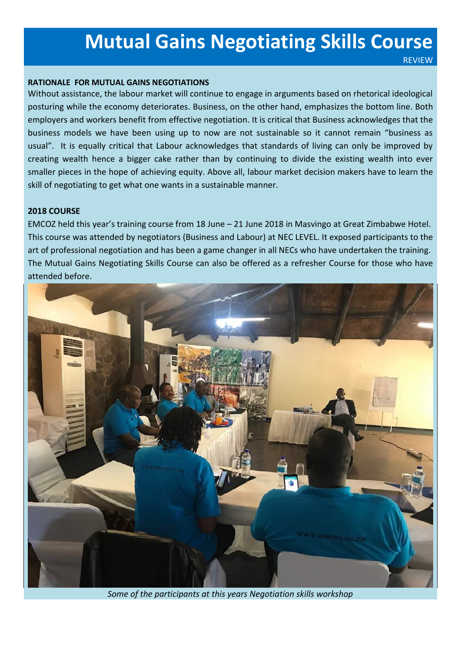### **Mutual Gains Negotiating Skills Course**

REVIEW

### **RATIONALE FOR MUTUAL GAINS NEGOTIATIONS**

Without assistance, the labour market will continue to engage in arguments based on rhetorical ideological posturing while the economy deteriorates. Business, on the other hand, emphasizes the bottom line. Both employers and workers benefit from effective negotiation. It is critical that Business acknowledges that the business models we have been using up to now are not sustainable so it cannot remain "business as usual". It is equally critical that Labour acknowledges that standards of living can only be improved by creating wealth hence a bigger cake rather than by continuing to divide the existing wealth into ever smaller pieces in the hope of achieving equity. Above all, labour market decision makers have to learn the skill of negotiating to get what one wants in a sustainable manner.

### **2018 COURSE**

EMCOZ held this year's training course from 18 June – 21 June 2018 in Masvingo at Great Zimbabwe Hotel. This course was attended by negotiators (Business and Labour) at NEC LEVEL. It exposed participants to the art of professional negotiation and has been a game changer in all NECs who have undertaken the training. The Mutual Gains Negotiating Skills Course can also be offered as a refresher Course for those who have attended before.



*Some of the participants at this years Negotiation skills workshop*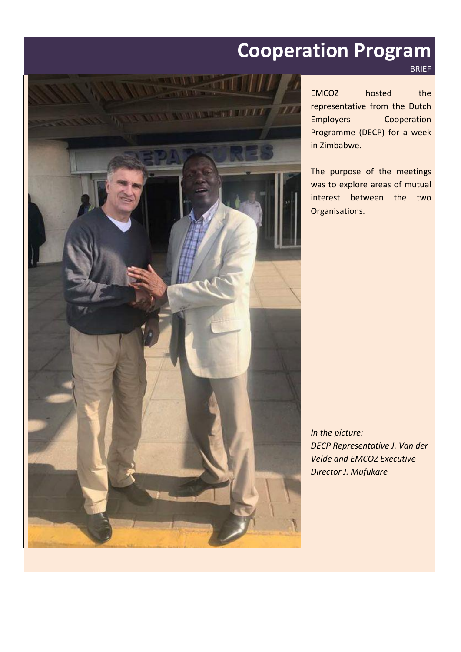## **Cooperation Program**



EMCOZ hosted the representative from the Dutch Employers Cooperation Programme (DECP) for a week in Zimbabwe.

BRIEF

The purpose of the meetings was to explore areas of mutual interest between the two Organisations.

*In the picture: DECP Representative J. Van der Velde and EMCOZ Executive Director J. Mufukare*